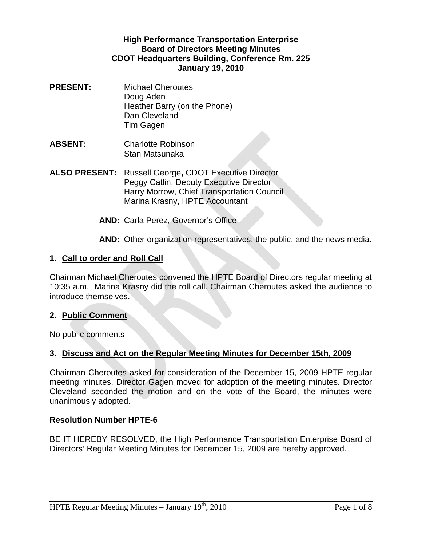#### **High Performance Transportation Enterprise Board of Directors Meeting Minutes CDOT Headquarters Building, Conference Rm. 225 January 19, 2010**

- **PRESENT:** Michael Cheroutes Doug Aden Heather Barry (on the Phone) Dan Cleveland Tim Gagen
- **ABSENT:** Charlotte Robinson Stan Matsunaka
- **ALSO PRESENT:** Russell George**,** CDOT Executive Director Peggy Catlin, Deputy Executive Director Harry Morrow, Chief Transportation Council Marina Krasny, HPTE Accountant
	- **AND:** Carla Perez, Governor's Office

**AND:** Other organization representatives, the public, and the news media.

#### **1. Call to order and Roll Call**

Chairman Michael Cheroutes convened the HPTE Board of Directors regular meeting at 10:35 a.m. Marina Krasny did the roll call. Chairman Cheroutes asked the audience to introduce themselves.

#### **2. Public Comment**

No public comments

#### **3. Discuss and Act on the Regular Meeting Minutes for December 15th, 2009**

Chairman Cheroutes asked for consideration of the December 15, 2009 HPTE regular meeting minutes. Director Gagen moved for adoption of the meeting minutes. Director Cleveland seconded the motion and on the vote of the Board, the minutes were unanimously adopted.

#### **Resolution Number HPTE-6**

BE IT HEREBY RESOLVED, the High Performance Transportation Enterprise Board of Directors' Regular Meeting Minutes for December 15, 2009 are hereby approved.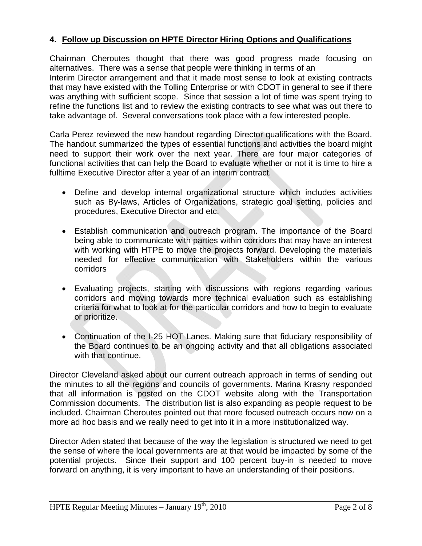# **4. Follow up Discussion on HPTE Director Hiring Options and Qualifications**

Chairman Cheroutes thought that there was good progress made focusing on alternatives. There was a sense that people were thinking in terms of an Interim Director arrangement and that it made most sense to look at existing contracts that may have existed with the Tolling Enterprise or with CDOT in general to see if there was anything with sufficient scope. Since that session a lot of time was spent trying to refine the functions list and to review the existing contracts to see what was out there to take advantage of. Several conversations took place with a few interested people.

Carla Perez reviewed the new handout regarding Director qualifications with the Board. The handout summarized the types of essential functions and activities the board might need to support their work over the next year. There are four major categories of functional activities that can help the Board to evaluate whether or not it is time to hire a fulltime Executive Director after a year of an interim contract.

- Define and develop internal organizational structure which includes activities such as By-laws, Articles of Organizations, strategic goal setting, policies and procedures, Executive Director and etc.
- Establish communication and outreach program. The importance of the Board being able to communicate with parties within corridors that may have an interest with working with HTPE to move the projects forward. Developing the materials needed for effective communication with Stakeholders within the various corridors
- Evaluating projects, starting with discussions with regions regarding various corridors and moving towards more technical evaluation such as establishing criteria for what to look at for the particular corridors and how to begin to evaluate or prioritize.
- Continuation of the I-25 HOT Lanes. Making sure that fiduciary responsibility of the Board continues to be an ongoing activity and that all obligations associated with that continue.

Director Cleveland asked about our current outreach approach in terms of sending out the minutes to all the regions and councils of governments. Marina Krasny responded that all information is posted on the CDOT website along with the Transportation Commission documents. The distribution list is also expanding as people request to be included. Chairman Cheroutes pointed out that more focused outreach occurs now on a more ad hoc basis and we really need to get into it in a more institutionalized way.

Director Aden stated that because of the way the legislation is structured we need to get the sense of where the local governments are at that would be impacted by some of the potential projects. Since their support and 100 percent buy-in is needed to move forward on anything, it is very important to have an understanding of their positions.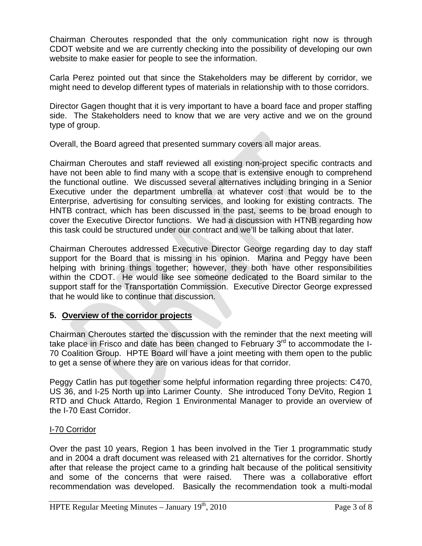Chairman Cheroutes responded that the only communication right now is through CDOT website and we are currently checking into the possibility of developing our own website to make easier for people to see the information.

Carla Perez pointed out that since the Stakeholders may be different by corridor, we might need to develop different types of materials in relationship with to those corridors.

Director Gagen thought that it is very important to have a board face and proper staffing side. The Stakeholders need to know that we are very active and we on the ground type of group.

Overall, the Board agreed that presented summary covers all major areas.

Chairman Cheroutes and staff reviewed all existing non-project specific contracts and have not been able to find many with a scope that is extensive enough to comprehend the functional outline. We discussed several alternatives including bringing in a Senior Executive under the department umbrella at whatever cost that would be to the Enterprise, advertising for consulting services, and looking for existing contracts. The HNTB contract, which has been discussed in the past, seems to be broad enough to cover the Executive Director functions. We had a discussion with HTNB regarding how this task could be structured under our contract and we'll be talking about that later.

Chairman Cheroutes addressed Executive Director George regarding day to day staff support for the Board that is missing in his opinion. Marina and Peggy have been helping with brining things together; however, they both have other responsibilities within the CDOT. He would like see someone dedicated to the Board similar to the support staff for the Transportation Commission. Executive Director George expressed that he would like to continue that discussion.

# **5. Overview of the corridor projects**

Chairman Cheroutes started the discussion with the reminder that the next meeting will take place in Frisco and date has been changed to February  $3<sup>rd</sup>$  to accommodate the I-70 Coalition Group. HPTE Board will have a joint meeting with them open to the public to get a sense of where they are on various ideas for that corridor.

Peggy Catlin has put together some helpful information regarding three projects: C470, US 36, and I-25 North up into Larimer County. She introduced Tony DeVito, Region 1 RTD and Chuck Attardo, Region 1 Environmental Manager to provide an overview of the I-70 East Corridor.

# I-70 Corridor

Over the past 10 years, Region 1 has been involved in the Tier 1 programmatic study and in 2004 a draft document was released with 21 alternatives for the corridor. Shortly after that release the project came to a grinding halt because of the political sensitivity and some of the concerns that were raised. There was a collaborative effort recommendation was developed. Basically the recommendation took a multi-modal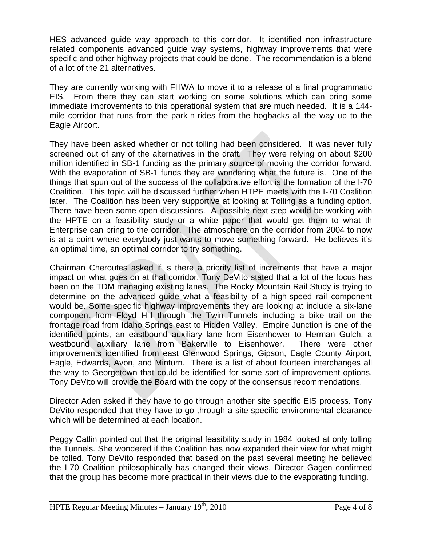HES advanced guide way approach to this corridor. It identified non infrastructure related components advanced guide way systems, highway improvements that were specific and other highway projects that could be done. The recommendation is a blend of a lot of the 21 alternatives.

They are currently working with FHWA to move it to a release of a final programmatic EIS. From there they can start working on some solutions which can bring some immediate improvements to this operational system that are much needed. It is a 144 mile corridor that runs from the park-n-rides from the hogbacks all the way up to the Eagle Airport.

They have been asked whether or not tolling had been considered. It was never fully screened out of any of the alternatives in the draft. They were relying on about \$200 million identified in SB-1 funding as the primary source of moving the corridor forward. With the evaporation of SB-1 funds they are wondering what the future is. One of the things that spun out of the success of the collaborative effort is the formation of the I-70 Coalition. This topic will be discussed further when HTPE meets with the I-70 Coalition later. The Coalition has been very supportive at looking at Tolling as a funding option. There have been some open discussions. A possible next step would be working with the HPTE on a feasibility study or a white paper that would get them to what th Enterprise can bring to the corridor. The atmosphere on the corridor from 2004 to now is at a point where everybody just wants to move something forward. He believes it's an optimal time, an optimal corridor to try something.

Chairman Cheroutes asked if is there a priority list of increments that have a major impact on what goes on at that corridor. Tony DeVito stated that a lot of the focus has been on the TDM managing existing lanes. The Rocky Mountain Rail Study is trying to determine on the advanced guide what a feasibility of a high-speed rail component would be. Some specific highway improvements they are looking at include a six-lane component from Floyd Hill through the Twin Tunnels including a bike trail on the frontage road from Idaho Springs east to Hidden Valley. Empire Junction is one of the identified points, an eastbound auxiliary lane from Eisenhower to Herman Gulch, a westbound auxiliary lane from Bakerville to Eisenhower. There were other improvements identified from east Glenwood Springs, Gipson, Eagle County Airport, Eagle, Edwards, Avon, and Minturn. There is a list of about fourteen interchanges all the way to Georgetown that could be identified for some sort of improvement options. Tony DeVito will provide the Board with the copy of the consensus recommendations.

Director Aden asked if they have to go through another site specific EIS process. Tony DeVito responded that they have to go through a site-specific environmental clearance which will be determined at each location.

Peggy Catlin pointed out that the original feasibility study in 1984 looked at only tolling the Tunnels. She wondered if the Coalition has now expanded their view for what might be tolled. Tony DeVito responded that based on the past several meeting he believed the I-70 Coalition philosophically has changed their views. Director Gagen confirmed that the group has become more practical in their views due to the evaporating funding.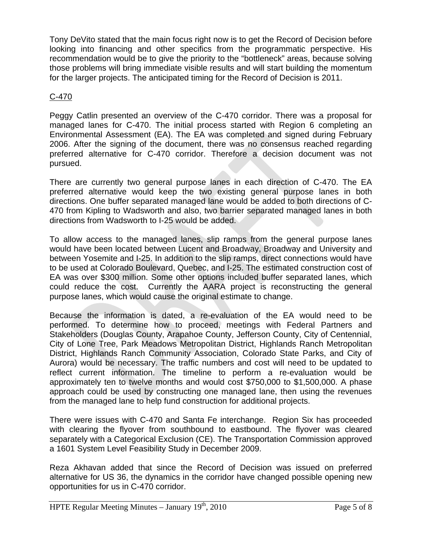Tony DeVito stated that the main focus right now is to get the Record of Decision before looking into financing and other specifics from the programmatic perspective. His recommendation would be to give the priority to the "bottleneck" areas, because solving those problems will bring immediate visible results and will start building the momentum for the larger projects. The anticipated timing for the Record of Decision is 2011.

# C-470

Peggy Catlin presented an overview of the C-470 corridor. There was a proposal for managed lanes for C-470. The initial process started with Region 6 completing an Environmental Assessment (EA). The EA was completed and signed during February 2006. After the signing of the document, there was no consensus reached regarding preferred alternative for C-470 corridor. Therefore a decision document was not pursued.

There are currently two general purpose lanes in each direction of C-470. The EA preferred alternative would keep the two existing general purpose lanes in both directions. One buffer separated managed lane would be added to both directions of C-470 from Kipling to Wadsworth and also, two barrier separated managed lanes in both directions from Wadsworth to I-25 would be added.

To allow access to the managed lanes, slip ramps from the general purpose lanes would have been located between Lucent and Broadway, Broadway and University and between Yosemite and I-25. In addition to the slip ramps, direct connections would have to be used at Colorado Boulevard, Quebec, and I-25. The estimated construction cost of EA was over \$300 million. Some other options included buffer separated lanes, which could reduce the cost. Currently the AARA project is reconstructing the general purpose lanes, which would cause the original estimate to change.

Because the information is dated, a re-evaluation of the EA would need to be performed. To determine how to proceed, meetings with Federal Partners and Stakeholders (Douglas County, Arapahoe County, Jefferson County, City of Centennial, City of Lone Tree, Park Meadows Metropolitan District, Highlands Ranch Metropolitan District, Highlands Ranch Community Association, Colorado State Parks, and City of Aurora) would be necessary. The traffic numbers and cost will need to be updated to reflect current information. The timeline to perform a re-evaluation would be approximately ten to twelve months and would cost \$750,000 to \$1,500,000. A phase approach could be used by constructing one managed lane, then using the revenues from the managed lane to help fund construction for additional projects.

There were issues with C-470 and Santa Fe interchange. Region Six has proceeded with clearing the flyover from southbound to eastbound. The flyover was cleared separately with a Categorical Exclusion (CE). The Transportation Commission approved a 1601 System Level Feasibility Study in December 2009.

Reza Akhavan added that since the Record of Decision was issued on preferred alternative for US 36, the dynamics in the corridor have changed possible opening new opportunities for us in C-470 corridor.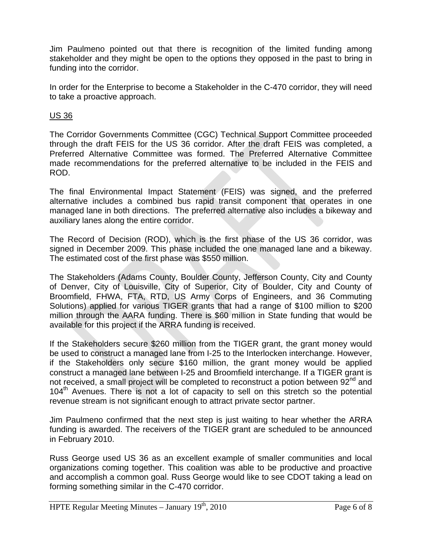Jim Paulmeno pointed out that there is recognition of the limited funding among stakeholder and they might be open to the options they opposed in the past to bring in funding into the corridor.

In order for the Enterprise to become a Stakeholder in the C-470 corridor, they will need to take a proactive approach.

# US 36

The Corridor Governments Committee (CGC) Technical Support Committee proceeded through the draft FEIS for the US 36 corridor. After the draft FEIS was completed, a Preferred Alternative Committee was formed. The Preferred Alternative Committee made recommendations for the preferred alternative to be included in the FEIS and ROD.

The final Environmental Impact Statement (FEIS) was signed, and the preferred alternative includes a combined bus rapid transit component that operates in one managed lane in both directions. The preferred alternative also includes a bikeway and auxiliary lanes along the entire corridor.

The Record of Decision (ROD), which is the first phase of the US 36 corridor, was signed in December 2009. This phase included the one managed lane and a bikeway. The estimated cost of the first phase was \$550 million.

The Stakeholders (Adams County, Boulder County, Jefferson County, City and County of Denver, City of Louisville, City of Superior, City of Boulder, City and County of Broomfield, FHWA, FTA, RTD, US Army Corps of Engineers, and 36 Commuting Solutions) applied for various TIGER grants that had a range of \$100 million to \$200 million through the AARA funding. There is \$60 million in State funding that would be available for this project if the ARRA funding is received.

If the Stakeholders secure \$260 million from the TIGER grant, the grant money would be used to construct a managed lane from I-25 to the Interlocken interchange. However, if the Stakeholders only secure \$160 million, the grant money would be applied construct a managed lane between I-25 and Broomfield interchange. If a TIGER grant is not received, a small project will be completed to reconstruct a potion between  $92^{nd}$  and 104<sup>th</sup> Avenues. There is not a lot of capacity to sell on this stretch so the potential revenue stream is not significant enough to attract private sector partner.

Jim Paulmeno confirmed that the next step is just waiting to hear whether the ARRA funding is awarded. The receivers of the TIGER grant are scheduled to be announced in February 2010.

Russ George used US 36 as an excellent example of smaller communities and local organizations coming together. This coalition was able to be productive and proactive and accomplish a common goal. Russ George would like to see CDOT taking a lead on forming something similar in the C-470 corridor.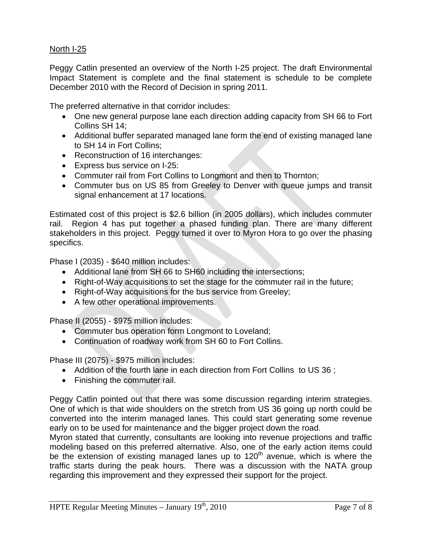# North I-25

Peggy Catlin presented an overview of the North I-25 project. The draft Environmental Impact Statement is complete and the final statement is schedule to be complete December 2010 with the Record of Decision in spring 2011.

The preferred alternative in that corridor includes:

- One new general purpose lane each direction adding capacity from SH 66 to Fort Collins SH 14;
- Additional buffer separated managed lane form the end of existing managed lane to SH 14 in Fort Collins;
- Reconstruction of 16 interchanges:
- Express bus service on I-25:
- Commuter rail from Fort Collins to Longmont and then to Thornton;
- Commuter bus on US 85 from Greeley to Denver with queue jumps and transit signal enhancement at 17 locations.

Estimated cost of this project is \$2.6 billion (in 2005 dollars), which includes commuter rail. Region 4 has put together a phased funding plan. There are many different stakeholders in this project. Peggy turned it over to Myron Hora to go over the phasing specifics.

Phase I (2035) - \$640 million includes:

- Additional lane from SH 66 to SH60 including the intersections;
- Right-of-Way acquisitions to set the stage for the commuter rail in the future;
- Right-of-Way acquisitions for the bus service from Greeley;
- A few other operational improvements.

Phase II (2055) - \$975 million includes:

- Commuter bus operation form Longmont to Loveland;
- Continuation of roadway work from SH 60 to Fort Collins.

Phase III (2075) - \$975 million includes:

- Addition of the fourth lane in each direction from Fort Collins to US 36 ;
- Finishing the commuter rail.

Peggy Catlin pointed out that there was some discussion regarding interim strategies. One of which is that wide shoulders on the stretch from US 36 going up north could be converted into the interim managed lanes. This could start generating some revenue early on to be used for maintenance and the bigger project down the road.

Myron stated that currently, consultants are looking into revenue projections and traffic modeling based on this preferred alternative. Also, one of the early action items could be the extension of existing managed lanes up to  $120<sup>th</sup>$  avenue, which is where the traffic starts during the peak hours. There was a discussion with the NATA group regarding this improvement and they expressed their support for the project.